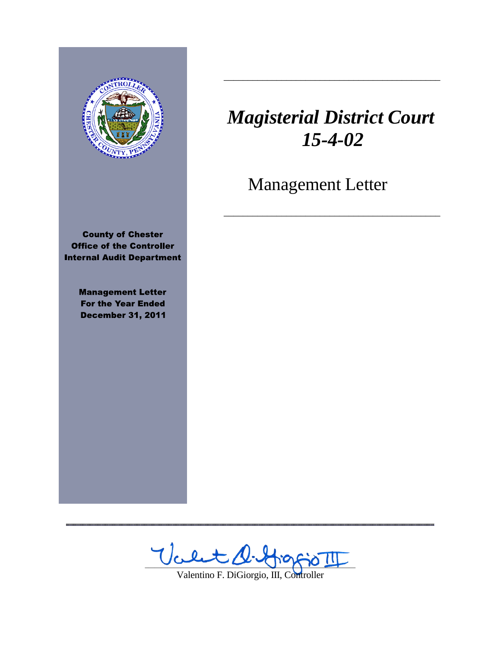

**County of Chester Office of the Controller Internal Audit Department** 

> **Management Letter For the Year Ended December 31, 2011**

,,,,,,,,,,,,,,,,,,,,,,,,,,,,

# *Magisterial District Court 15-4-02*

\_\_\_\_\_\_\_\_\_\_\_\_\_\_\_\_\_\_\_\_\_\_\_\_\_\_\_\_\_\_\_\_\_\_\_\_\_\_\_\_\_\_\_\_\_

Management Letter

\_\_\_\_\_\_\_\_\_\_\_\_\_\_\_\_\_\_\_\_\_\_\_\_\_\_\_\_\_\_\_\_\_\_\_\_\_\_\_\_\_\_\_\_\_

Valt D. HiggioTI

Valentino F. DiGiorgio, III, Controller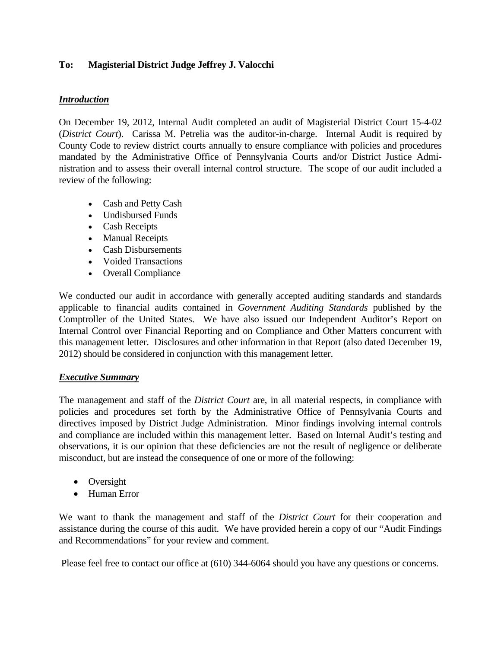## **To: Magisterial District Judge Jeffrey J. Valocchi**

## *Introduction*

On December 19, 2012, Internal Audit completed an audit of Magisterial District Court 15-4-02 (*District Court*). Carissa M. Petrelia was the auditor-in-charge. Internal Audit is required by County Code to review district courts annually to ensure compliance with policies and procedures mandated by the Administrative Office of Pennsylvania Courts and/or District Justice Administration and to assess their overall internal control structure. The scope of our audit included a review of the following:

- Cash and Petty Cash
- Undisbursed Funds
- Cash Receipts
- Manual Receipts
- Cash Disbursements
- Voided Transactions
- Overall Compliance

We conducted our audit in accordance with generally accepted auditing standards and standards applicable to financial audits contained in *Government Auditing Standards* published by the Comptroller of the United States. We have also issued our Independent Auditor's Report on Internal Control over Financial Reporting and on Compliance and Other Matters concurrent with this management letter. Disclosures and other information in that Report (also dated December 19, 2012) should be considered in conjunction with this management letter.

## *Executive Summary*

The management and staff of the *District Court* are, in all material respects, in compliance with policies and procedures set forth by the Administrative Office of Pennsylvania Courts and directives imposed by District Judge Administration. Minor findings involving internal controls and compliance are included within this management letter. Based on Internal Audit's testing and observations, it is our opinion that these deficiencies are not the result of negligence or deliberate misconduct, but are instead the consequence of one or more of the following:

- Oversight
- Human Error

We want to thank the management and staff of the *District Court* for their cooperation and assistance during the course of this audit. We have provided herein a copy of our "Audit Findings and Recommendations" for your review and comment.

Please feel free to contact our office at (610) 344-6064 should you have any questions or concerns.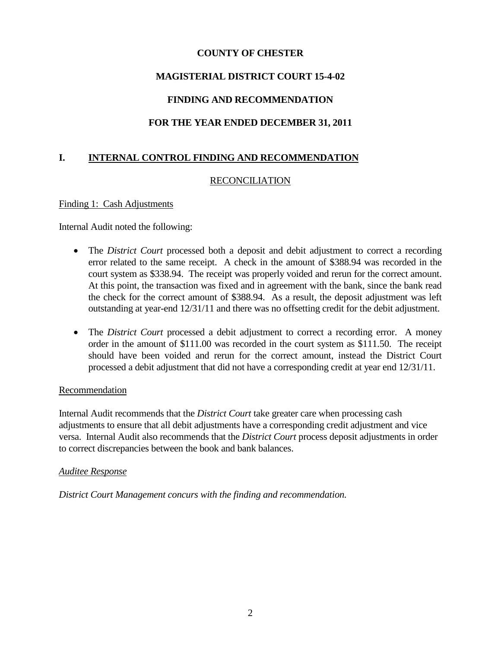## **COUNTY OF CHESTER**

## **MAGISTERIAL DISTRICT COURT 15-4-02**

## **FINDING AND RECOMMENDATION**

## **FOR THE YEAR ENDED DECEMBER 31, 2011**

# **I. INTERNAL CONTROL FINDING AND RECOMMENDATION**

## RECONCILIATION

#### Finding 1: Cash Adjustments

Internal Audit noted the following:

- The *District Court* processed both a deposit and debit adjustment to correct a recording error related to the same receipt. A check in the amount of \$388.94 was recorded in the court system as \$338.94. The receipt was properly voided and rerun for the correct amount. At this point, the transaction was fixed and in agreement with the bank, since the bank read the check for the correct amount of \$388.94. As a result, the deposit adjustment was left outstanding at year-end 12/31/11 and there was no offsetting credit for the debit adjustment.
- The *District Court* processed a debit adjustment to correct a recording error. A money order in the amount of \$111.00 was recorded in the court system as \$111.50. The receipt should have been voided and rerun for the correct amount, instead the District Court processed a debit adjustment that did not have a corresponding credit at year end 12/31/11.

## Recommendation

Internal Audit recommends that the *District Court* take greater care when processing cash adjustments to ensure that all debit adjustments have a corresponding credit adjustment and vice versa. Internal Audit also recommends that the *District Court* process deposit adjustments in order to correct discrepancies between the book and bank balances.

## *Auditee Response*

*District Court Management concurs with the finding and recommendation.*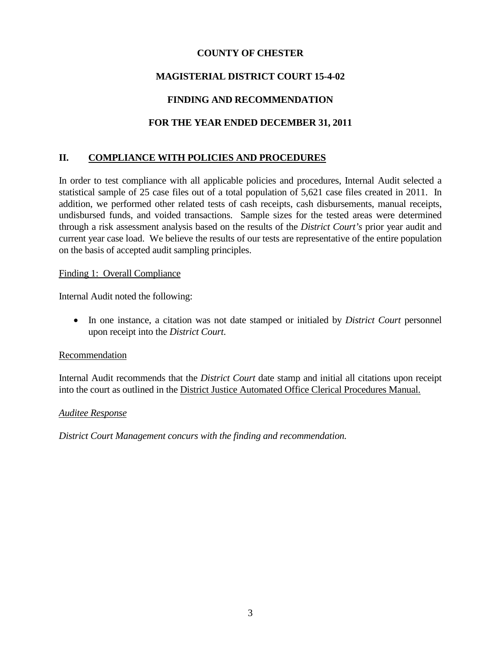## **COUNTY OF CHESTER**

# **MAGISTERIAL DISTRICT COURT 15-4-02**

# **FINDING AND RECOMMENDATION**

# **FOR THE YEAR ENDED DECEMBER 31, 2011**

# **II. COMPLIANCE WITH POLICIES AND PROCEDURES**

In order to test compliance with all applicable policies and procedures, Internal Audit selected a statistical sample of 25 case files out of a total population of 5,621 case files created in 2011. In addition, we performed other related tests of cash receipts, cash disbursements, manual receipts, undisbursed funds, and voided transactions. Sample sizes for the tested areas were determined through a risk assessment analysis based on the results of the *District Court's* prior year audit and current year case load. We believe the results of our tests are representative of the entire population on the basis of accepted audit sampling principles.

## Finding 1: Overall Compliance

Internal Audit noted the following:

• In one instance, a citation was not date stamped or initialed by *District Court* personnel upon receipt into the *District Court*.

## Recommendation

Internal Audit recommends that the *District Court* date stamp and initial all citations upon receipt into the court as outlined in the District Justice Automated Office Clerical Procedures Manual.

## *Auditee Response*

*District Court Management concurs with the finding and recommendation.*